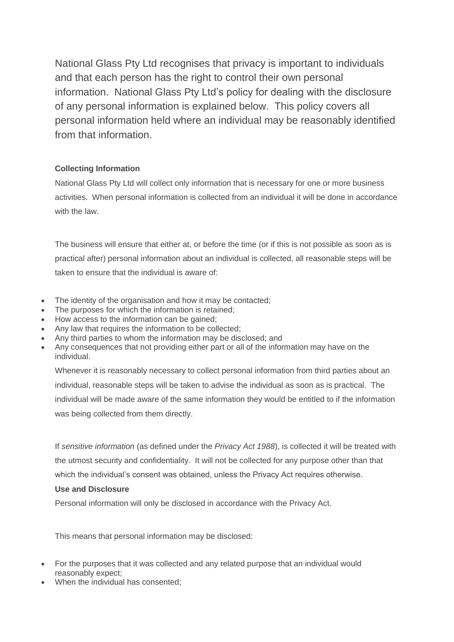National Glass Pty Ltd recognises that privacy is important to individuals and that each person has the right to control their own personal information. National Glass Pty Ltd's policy for dealing with the disclosure of any personal information is explained below. This policy covers all personal information held where an individual may be reasonably identified from that information.

# **Collecting Information**

National Glass Pty Ltd will collect only information that is necessary for one or more business activities. When personal information is collected from an individual it will be done in accordance with the law.

The business will ensure that either at, or before the time (or if this is not possible as soon as is practical after) personal information about an individual is collected, all reasonable steps will be taken to ensure that the individual is aware of:

- The identity of the organisation and how it may be contacted;
- The purposes for which the information is retained;
- How access to the information can be gained;
- Any law that requires the information to be collected;
- Any third parties to whom the information may be disclosed; and
- Any consequences that not providing either part or all of the information may have on the individual.

Whenever it is reasonably necessary to collect personal information from third parties about an individual, reasonable steps will be taken to advise the individual as soon as is practical. The individual will be made aware of the same information they would be entitled to if the information was being collected from them directly.

If *sensitive information* (as defined under the *Privacy Act 1988*), is collected it will be treated with the utmost security and confidentiality. It will not be collected for any purpose other than that which the individual's consent was obtained, unless the Privacy Act requires otherwise.

## **Use and Disclosure**

Personal information will only be disclosed in accordance with the Privacy Act.

This means that personal information may be disclosed:

- For the purposes that it was collected and any related purpose that an individual would reasonably expect;
- When the individual has consented;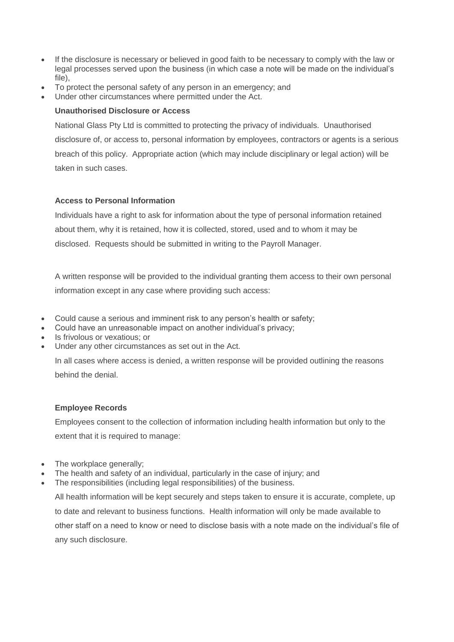- If the disclosure is necessary or believed in good faith to be necessary to comply with the law or legal processes served upon the business (in which case a note will be made on the individual's file),
- To protect the personal safety of any person in an emergency; and
- Under other circumstances where permitted under the Act.

#### **Unauthorised Disclosure or Access**

National Glass Pty Ltd is committed to protecting the privacy of individuals. Unauthorised disclosure of, or access to, personal information by employees, contractors or agents is a serious breach of this policy. Appropriate action (which may include disciplinary or legal action) will be taken in such cases.

#### **Access to Personal Information**

Individuals have a right to ask for information about the type of personal information retained about them, why it is retained, how it is collected, stored, used and to whom it may be disclosed. Requests should be submitted in writing to the Payroll Manager.

A written response will be provided to the individual granting them access to their own personal information except in any case where providing such access:

- Could cause a serious and imminent risk to any person's health or safety;
- Could have an unreasonable impact on another individual's privacy;
- Is frivolous or vexatious; or
- Under any other circumstances as set out in the Act.

In all cases where access is denied, a written response will be provided outlining the reasons behind the denial.

## **Employee Records**

Employees consent to the collection of information including health information but only to the extent that it is required to manage:

- The workplace generally:
- The health and safety of an individual, particularly in the case of injury; and
- The responsibilities (including legal responsibilities) of the business.

All health information will be kept securely and steps taken to ensure it is accurate, complete, up to date and relevant to business functions. Health information will only be made available to other staff on a need to know or need to disclose basis with a note made on the individual's file of any such disclosure.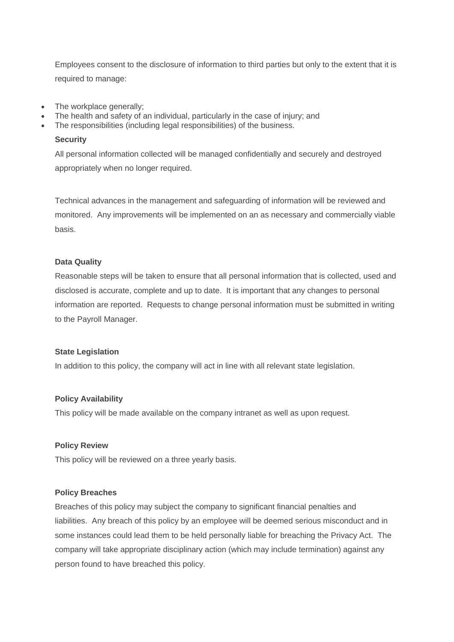Employees consent to the disclosure of information to third parties but only to the extent that it is required to manage:

- The workplace generally:
- The health and safety of an individual, particularly in the case of injury; and
- The responsibilities (including legal responsibilities) of the business.

#### **Security**

All personal information collected will be managed confidentially and securely and destroyed appropriately when no longer required.

Technical advances in the management and safeguarding of information will be reviewed and monitored. Any improvements will be implemented on an as necessary and commercially viable basis.

## **Data Quality**

Reasonable steps will be taken to ensure that all personal information that is collected, used and disclosed is accurate, complete and up to date. It is important that any changes to personal information are reported. Requests to change personal information must be submitted in writing to the Payroll Manager.

#### **State Legislation**

In addition to this policy, the company will act in line with all relevant state legislation.

## **Policy Availability**

This policy will be made available on the company intranet as well as upon request.

#### **Policy Review**

This policy will be reviewed on a three yearly basis.

## **Policy Breaches**

Breaches of this policy may subject the company to significant financial penalties and liabilities. Any breach of this policy by an employee will be deemed serious misconduct and in some instances could lead them to be held personally liable for breaching the Privacy Act. The company will take appropriate disciplinary action (which may include termination) against any person found to have breached this policy.